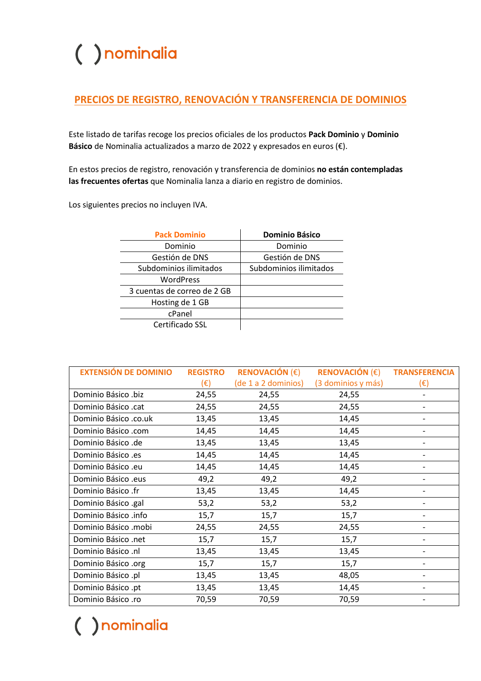#### **PRECIOS DE REGISTRO, RENOVACIÓN Y TRANSFERENCIA DE DOMINIOS**

Este listado de tarifas recoge los precios oficiales de los productos **Pack Dominio** y **Dominio Básico** de Nominalia actualizados a marzo de 2022 y expresados en euros (€).

En estos precios de registro, renovación y transferencia de dominios **no están contempladas las frecuentes ofertas** que Nominalia lanza a diario en registro de dominios.

Los siguientes precios no incluyen IVA.

| <b>Pack Dominio</b>         | <b>Dominio Básico</b>  |
|-----------------------------|------------------------|
| Dominio                     | Dominio                |
| Gestión de DNS              | Gestión de DNS         |
| Subdominios ilimitados      | Subdominios ilimitados |
| WordPress                   |                        |
| 3 cuentas de correo de 2 GB |                        |
| Hosting de 1 GB             |                        |
| cPanel                      |                        |
| Certificado SSL             |                        |

| <b>EXTENSIÓN DE DOMINIO</b> | <b>REGISTRO</b> | <b>RENOVACIÓN (€)</b> | RENOVACIÓN $(\epsilon)$ | <b>TRANSFERENCIA</b> |
|-----------------------------|-----------------|-----------------------|-------------------------|----------------------|
|                             | $(\epsilon)$    | (de 1 a 2 dominios)   | (3 dominios y más)      | (€)                  |
| Dominio Básico .biz         | 24,55           | 24,55                 | 24,55                   |                      |
| Dominio Básico .cat         | 24,55           | 24,55                 | 24,55                   |                      |
| Dominio Básico .co.uk       | 13,45           | 13,45                 | 14,45                   |                      |
| Dominio Básico .com         | 14,45           | 14,45                 | 14,45                   |                      |
| Dominio Básico .de          | 13,45           | 13,45                 | 13,45                   | -                    |
| Dominio Básico .es          | 14,45           | 14,45                 | 14,45                   |                      |
| Dominio Básico .eu          | 14,45           | 14,45                 | 14,45                   |                      |
| Dominio Básico .eus         | 49,2            | 49,2                  | 49,2                    |                      |
| Dominio Básico .fr          | 13,45           | 13,45                 | 14,45                   |                      |
| Dominio Básico .gal         | 53,2            | 53,2                  | 53,2                    |                      |
| Dominio Básico .info        | 15,7            | 15,7                  | 15,7                    |                      |
| Dominio Básico .mobi        | 24,55           | 24,55                 | 24,55                   |                      |
| Dominio Básico .net         | 15,7            | 15,7                  | 15,7                    |                      |
| Dominio Básico .nl          | 13,45           | 13,45                 | 13,45                   |                      |
| Dominio Básico .org         | 15,7            | 15,7                  | 15,7                    |                      |
| Dominio Básico .pl          | 13,45           | 13,45                 | 48,05                   |                      |
| Dominio Básico .pt          | 13,45           | 13,45                 | 14,45                   |                      |
| Dominio Básico .ro          | 70,59           | 70,59                 | 70,59                   |                      |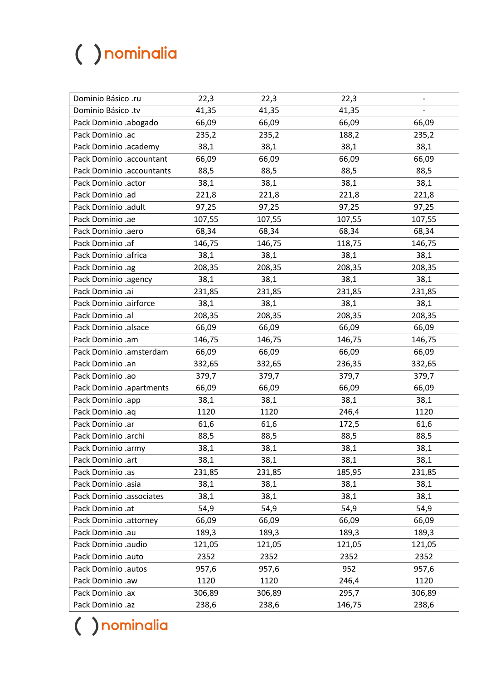| Dominio Básico .ru        | 22,3   | 22,3   | 22,3   |        |
|---------------------------|--------|--------|--------|--------|
| Dominio Básico .tv        | 41,35  | 41,35  | 41,35  |        |
| Pack Dominio .abogado     | 66,09  | 66,09  | 66,09  | 66,09  |
| Pack Dominio .ac          | 235,2  | 235,2  | 188,2  | 235,2  |
| Pack Dominio .academy     | 38,1   | 38,1   | 38,1   | 38,1   |
| Pack Dominio .accountant  | 66,09  | 66,09  | 66,09  | 66,09  |
| Pack Dominio .accountants | 88,5   | 88,5   | 88,5   | 88,5   |
| Pack Dominio .actor       | 38,1   | 38,1   | 38,1   | 38,1   |
| Pack Dominio .ad          | 221,8  | 221,8  | 221,8  | 221,8  |
| Pack Dominio .adult       | 97,25  | 97,25  | 97,25  | 97,25  |
| Pack Dominio .ae          | 107,55 | 107,55 | 107,55 | 107,55 |
| Pack Dominio .aero        | 68,34  | 68,34  | 68,34  | 68,34  |
| Pack Dominio .af          | 146,75 | 146,75 | 118,75 | 146,75 |
| Pack Dominio .africa      | 38,1   | 38,1   | 38,1   | 38,1   |
| Pack Dominio .ag          | 208,35 | 208,35 | 208,35 | 208,35 |
| Pack Dominio .agency      | 38,1   | 38,1   | 38,1   | 38,1   |
| Pack Dominio .ai          | 231,85 | 231,85 | 231,85 | 231,85 |
| Pack Dominio .airforce    | 38,1   | 38,1   | 38,1   | 38,1   |
| Pack Dominio .al          | 208,35 | 208,35 | 208,35 | 208,35 |
| Pack Dominio .alsace      | 66,09  | 66,09  | 66,09  | 66,09  |
| Pack Dominio .am          | 146,75 | 146,75 | 146,75 | 146,75 |
| Pack Dominio .amsterdam   | 66,09  | 66,09  | 66,09  | 66,09  |
| Pack Dominio .an          | 332,65 | 332,65 | 236,35 | 332,65 |
| Pack Dominio .ao          | 379,7  | 379,7  | 379,7  | 379,7  |
| Pack Dominio .apartments  | 66,09  | 66,09  | 66,09  | 66,09  |
| Pack Dominio .app         | 38,1   | 38,1   | 38,1   | 38,1   |
| Pack Dominio .aq          | 1120   | 1120   | 246,4  | 1120   |
| Pack Dominio .ar          | 61,6   | 61,6   | 172,5  | 61,6   |
| Pack Dominio .archi       | 88,5   | 88,5   | 88,5   | 88,5   |
| Pack Dominio .army        | 38,1   | 38,1   | 38,1   | 38,1   |
| Pack Dominio .art         | 38,1   | 38,1   | 38,1   | 38,1   |
| Pack Dominio .as          | 231,85 | 231,85 | 185,95 | 231,85 |
| Pack Dominio .asia        | 38,1   | 38,1   | 38,1   | 38,1   |
| Pack Dominio .associates  | 38,1   | 38,1   | 38,1   | 38,1   |
| Pack Dominio .at          | 54,9   | 54,9   | 54,9   | 54,9   |
| Pack Dominio .attorney    | 66,09  | 66,09  | 66,09  | 66,09  |
| Pack Dominio .au          | 189,3  | 189,3  | 189,3  | 189,3  |
| Pack Dominio .audio       | 121,05 | 121,05 | 121,05 | 121,05 |
| Pack Dominio .auto        | 2352   | 2352   | 2352   | 2352   |
| Pack Dominio .autos       | 957,6  | 957,6  | 952    | 957,6  |
| Pack Dominio .aw          | 1120   | 1120   | 246,4  | 1120   |
| Pack Dominio .ax          | 306,89 | 306,89 | 295,7  | 306,89 |
| Pack Dominio .az          | 238,6  | 238,6  | 146,75 | 238,6  |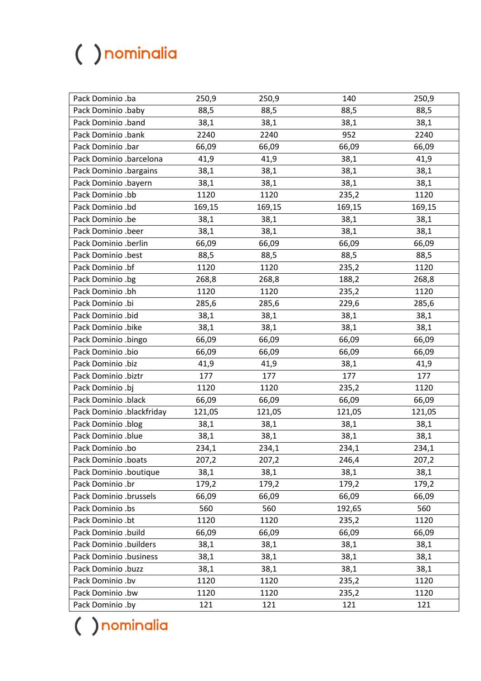| Pack Dominio .ba          | 250,9  | 250,9  | 140    | 250,9  |
|---------------------------|--------|--------|--------|--------|
| Pack Dominio .baby        | 88,5   | 88,5   | 88,5   | 88,5   |
| Pack Dominio .band        | 38,1   | 38,1   | 38,1   | 38,1   |
| Pack Dominio .bank        | 2240   | 2240   | 952    | 2240   |
| Pack Dominio .bar         | 66,09  | 66,09  | 66,09  | 66,09  |
| Pack Dominio .barcelona   | 41,9   | 41,9   | 38,1   | 41,9   |
| Pack Dominio .bargains    | 38,1   | 38,1   | 38,1   | 38,1   |
| Pack Dominio .bayern      | 38,1   | 38,1   | 38,1   | 38,1   |
| Pack Dominio .bb          | 1120   | 1120   | 235,2  | 1120   |
| Pack Dominio .bd          | 169,15 | 169,15 | 169,15 | 169,15 |
| Pack Dominio .be          | 38,1   | 38,1   | 38,1   | 38,1   |
| Pack Dominio .beer        | 38,1   | 38,1   | 38,1   | 38,1   |
| Pack Dominio .berlin      | 66,09  | 66,09  | 66,09  | 66,09  |
| Pack Dominio .best        | 88,5   | 88,5   | 88,5   | 88,5   |
| Pack Dominio .bf          | 1120   | 1120   | 235,2  | 1120   |
| Pack Dominio .bg          | 268,8  | 268,8  | 188,2  | 268,8  |
| Pack Dominio .bh          | 1120   | 1120   | 235,2  | 1120   |
| Pack Dominio .bi          | 285,6  | 285,6  | 229,6  | 285,6  |
| Pack Dominio .bid         | 38,1   | 38,1   | 38,1   | 38,1   |
| Pack Dominio .bike        | 38,1   | 38,1   | 38,1   | 38,1   |
| Pack Dominio .bingo       | 66,09  | 66,09  | 66,09  | 66,09  |
| Pack Dominio .bio         | 66,09  | 66,09  | 66,09  | 66,09  |
| Pack Dominio .biz         | 41,9   | 41,9   | 38,1   | 41,9   |
| Pack Dominio .biztr       | 177    | 177    | 177    | 177    |
| Pack Dominio .bj          | 1120   | 1120   | 235,2  | 1120   |
| Pack Dominio .black       | 66,09  | 66,09  | 66,09  | 66,09  |
| Pack Dominio .blackfriday | 121,05 | 121,05 | 121,05 | 121,05 |
| Pack Dominio .blog        | 38,1   | 38,1   | 38,1   | 38,1   |
| Pack Dominio .blue        | 38,1   | 38,1   | 38,1   | 38,1   |
| Pack Dominio .bo          | 234,1  | 234,1  | 234,1  | 234,1  |
| Pack Dominio .boats       | 207,2  | 207,2  | 246,4  | 207,2  |
| Pack Dominio .boutique    | 38,1   | 38,1   | 38,1   | 38,1   |
| Pack Dominio .br          | 179,2  | 179,2  | 179,2  | 179,2  |
| Pack Dominio .brussels    | 66,09  | 66,09  | 66,09  | 66,09  |
| Pack Dominio .bs          | 560    | 560    | 192,65 | 560    |
| Pack Dominio .bt          | 1120   | 1120   | 235,2  | 1120   |
| Pack Dominio .build       | 66,09  | 66,09  | 66,09  | 66,09  |
| Pack Dominio .builders    | 38,1   | 38,1   | 38,1   | 38,1   |
| Pack Dominio .business    | 38,1   | 38,1   | 38,1   | 38,1   |
| Pack Dominio .buzz        | 38,1   | 38,1   | 38,1   | 38,1   |
| Pack Dominio .bv          | 1120   | 1120   | 235,2  | 1120   |
| Pack Dominio .bw          | 1120   | 1120   | 235,2  | 1120   |
| Pack Dominio .by          | 121    | 121    | 121    | 121    |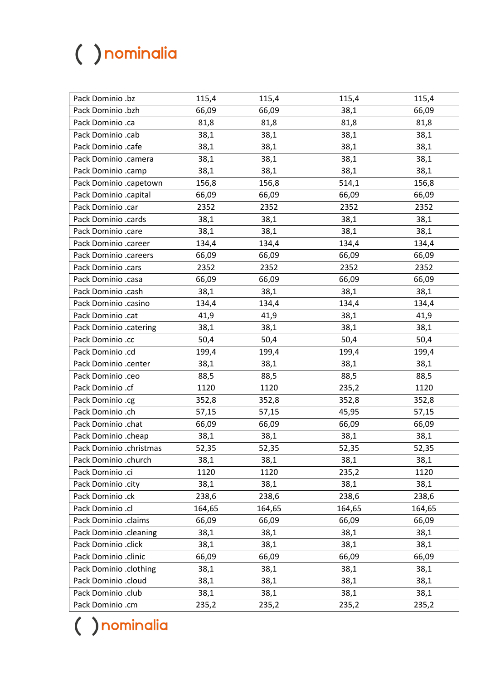| Pack Dominio .bz        | 115,4  | 115,4  | 115,4  | 115,4  |
|-------------------------|--------|--------|--------|--------|
| Pack Dominio .bzh       | 66,09  | 66,09  | 38,1   | 66,09  |
| Pack Dominio .ca        | 81,8   | 81,8   | 81,8   | 81,8   |
| Pack Dominio .cab       | 38,1   | 38,1   | 38,1   | 38,1   |
| Pack Dominio .cafe      | 38,1   | 38,1   | 38,1   | 38,1   |
| Pack Dominio .camera    | 38,1   | 38,1   | 38,1   | 38,1   |
| Pack Dominio .camp      | 38,1   | 38,1   | 38,1   | 38,1   |
| Pack Dominio .capetown  | 156,8  | 156,8  | 514,1  | 156,8  |
| Pack Dominio .capital   | 66,09  | 66,09  | 66,09  | 66,09  |
| Pack Dominio .car       | 2352   | 2352   | 2352   | 2352   |
| Pack Dominio .cards     | 38,1   | 38,1   | 38,1   | 38,1   |
| Pack Dominio .care      | 38,1   | 38,1   | 38,1   | 38,1   |
| Pack Dominio .career    | 134,4  | 134,4  | 134,4  | 134,4  |
| Pack Dominio .careers   | 66,09  | 66,09  | 66,09  | 66,09  |
| Pack Dominio .cars      | 2352   | 2352   | 2352   | 2352   |
| Pack Dominio .casa      | 66,09  | 66,09  | 66,09  | 66,09  |
| Pack Dominio .cash      | 38,1   | 38,1   | 38,1   | 38,1   |
| Pack Dominio .casino    | 134,4  | 134,4  | 134,4  | 134,4  |
| Pack Dominio .cat       | 41,9   | 41,9   | 38,1   | 41,9   |
| Pack Dominio .catering  | 38,1   | 38,1   | 38,1   | 38,1   |
| Pack Dominio .cc        | 50,4   | 50,4   | 50,4   | 50,4   |
| Pack Dominio .cd        | 199,4  | 199,4  | 199,4  | 199,4  |
| Pack Dominio .center    | 38,1   | 38,1   | 38,1   | 38,1   |
| Pack Dominio .ceo       | 88,5   | 88,5   | 88,5   | 88,5   |
| Pack Dominio .cf        | 1120   | 1120   | 235,2  | 1120   |
| Pack Dominio .cg        | 352,8  | 352,8  | 352,8  | 352,8  |
| Pack Dominio .ch        | 57,15  | 57,15  | 45,95  | 57,15  |
| Pack Dominio .chat      | 66,09  | 66,09  | 66,09  | 66,09  |
| Pack Dominio .cheap     | 38,1   | 38,1   | 38,1   | 38,1   |
| Pack Dominio .christmas | 52,35  | 52,35  | 52,35  | 52,35  |
| Pack Dominio .church    | 38,1   | 38,1   | 38,1   | 38,1   |
| Pack Dominio .ci        | 1120   | 1120   | 235,2  | 1120   |
| Pack Dominio .city      | 38,1   | 38,1   | 38,1   | 38,1   |
| Pack Dominio .ck        | 238,6  | 238,6  | 238,6  | 238,6  |
| Pack Dominio .cl        | 164,65 | 164,65 | 164,65 | 164,65 |
| Pack Dominio .claims    | 66,09  | 66,09  | 66,09  | 66,09  |
| Pack Dominio .cleaning  | 38,1   | 38,1   | 38,1   | 38,1   |
| Pack Dominio .click     | 38,1   | 38,1   | 38,1   | 38,1   |
| Pack Dominio .clinic    | 66,09  | 66,09  | 66,09  | 66,09  |
| Pack Dominio .clothing  | 38,1   | 38,1   | 38,1   | 38,1   |
| Pack Dominio .cloud     | 38,1   | 38,1   | 38,1   | 38,1   |
| Pack Dominio .club      | 38,1   | 38,1   | 38,1   | 38,1   |
| Pack Dominio .cm        | 235,2  | 235,2  | 235,2  | 235,2  |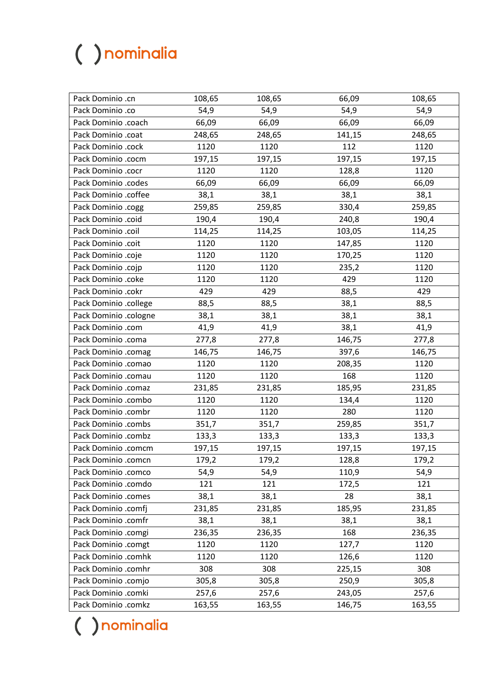| Pack Dominio .cn      | 108,65 | 108,65 | 66,09  | 108,65 |
|-----------------------|--------|--------|--------|--------|
| Pack Dominio .co      | 54,9   | 54,9   | 54,9   | 54,9   |
| Pack Dominio .coach   | 66,09  | 66,09  | 66,09  | 66,09  |
| Pack Dominio .coat    | 248,65 | 248,65 | 141,15 | 248,65 |
| Pack Dominio .cock    | 1120   | 1120   | 112    | 1120   |
| Pack Dominio .cocm    | 197,15 | 197,15 | 197,15 | 197,15 |
| Pack Dominio .cocr    | 1120   | 1120   | 128,8  | 1120   |
| Pack Dominio .codes   | 66,09  | 66,09  | 66,09  | 66,09  |
| Pack Dominio .coffee  | 38,1   | 38,1   | 38,1   | 38,1   |
| Pack Dominio .cogg    | 259,85 | 259,85 | 330,4  | 259,85 |
| Pack Dominio .coid    | 190,4  | 190,4  | 240,8  | 190,4  |
| Pack Dominio .coil    | 114,25 | 114,25 | 103,05 | 114,25 |
| Pack Dominio .coit    | 1120   | 1120   | 147,85 | 1120   |
| Pack Dominio .coje    | 1120   | 1120   | 170,25 | 1120   |
| Pack Dominio .cojp    | 1120   | 1120   | 235,2  | 1120   |
| Pack Dominio .coke    | 1120   | 1120   | 429    | 1120   |
| Pack Dominio .cokr    | 429    | 429    | 88,5   | 429    |
| Pack Dominio .college | 88,5   | 88,5   | 38,1   | 88,5   |
| Pack Dominio .cologne | 38,1   | 38,1   | 38,1   | 38,1   |
| Pack Dominio .com     | 41,9   | 41,9   | 38,1   | 41,9   |
| Pack Dominio .coma    | 277,8  | 277,8  | 146,75 | 277,8  |
| Pack Dominio .comag   | 146,75 | 146,75 | 397,6  | 146,75 |
| Pack Dominio .comao   | 1120   | 1120   | 208,35 | 1120   |
| Pack Dominio .comau   | 1120   | 1120   | 168    | 1120   |
| Pack Dominio .comaz   | 231,85 | 231,85 | 185,95 | 231,85 |
| Pack Dominio .combo   | 1120   | 1120   | 134,4  | 1120   |
| Pack Dominio .combr   | 1120   | 1120   | 280    | 1120   |
| Pack Dominio .combs   | 351,7  | 351,7  | 259,85 | 351,7  |
| Pack Dominio .combz   | 133,3  | 133,3  | 133,3  | 133,3  |
| Pack Dominio .comcm   | 197,15 | 197,15 | 197,15 | 197,15 |
| Pack Dominio .comcn   | 179,2  | 179,2  | 128,8  | 179,2  |
| Pack Dominio .comco   | 54,9   | 54,9   | 110,9  | 54,9   |
| Pack Dominio .comdo   | 121    | 121    | 172,5  | 121    |
| Pack Dominio .comes   | 38,1   | 38,1   | 28     | 38,1   |
| Pack Dominio .comfj   | 231,85 | 231,85 | 185,95 | 231,85 |
| Pack Dominio .comfr   | 38,1   | 38,1   | 38,1   | 38,1   |
| Pack Dominio .comgi   | 236,35 | 236,35 | 168    | 236,35 |
| Pack Dominio .comgt   | 1120   | 1120   | 127,7  | 1120   |
| Pack Dominio .comhk   | 1120   | 1120   | 126,6  | 1120   |
| Pack Dominio .comhr   | 308    | 308    | 225,15 | 308    |
| Pack Dominio .comjo   | 305,8  | 305,8  | 250,9  | 305,8  |
| Pack Dominio .comki   | 257,6  | 257,6  | 243,05 | 257,6  |
| Pack Dominio .comkz   | 163,55 | 163,55 | 146,75 | 163,55 |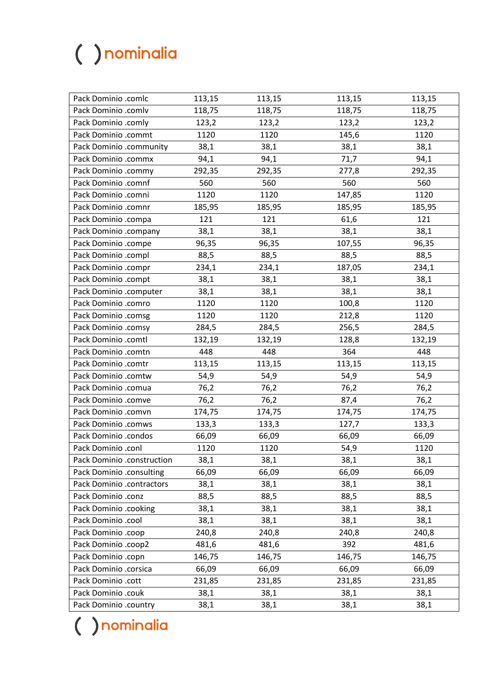| Pack Dominio .comlc        | 113,15 | 113,15 | 113,15 | 113,15 |
|----------------------------|--------|--------|--------|--------|
| Pack Dominio .comlv        | 118,75 | 118,75 | 118,75 | 118,75 |
| Pack Dominio .comly        | 123,2  | 123,2  | 123,2  | 123,2  |
| Pack Dominio .commt        | 1120   | 1120   | 145,6  | 1120   |
| Pack Dominio .community    | 38,1   | 38,1   | 38,1   | 38,1   |
| Pack Dominio .commx        | 94,1   | 94,1   | 71,7   | 94,1   |
| Pack Dominio .commy        | 292,35 | 292,35 | 277,8  | 292,35 |
| Pack Dominio .comnf        | 560    | 560    | 560    | 560    |
| Pack Dominio .comni        | 1120   | 1120   | 147,85 | 1120   |
| Pack Dominio .comnr        | 185,95 | 185,95 | 185,95 | 185,95 |
| Pack Dominio .compa        | 121    | 121    | 61,6   | 121    |
| Pack Dominio .company      | 38,1   | 38,1   | 38,1   | 38,1   |
| Pack Dominio .compe        | 96,35  | 96,35  | 107,55 | 96,35  |
| Pack Dominio .compl        | 88,5   | 88,5   | 88,5   | 88,5   |
| Pack Dominio .compr        | 234,1  | 234,1  | 187,05 | 234,1  |
| Pack Dominio .compt        | 38,1   | 38,1   | 38,1   | 38,1   |
| Pack Dominio .computer     | 38,1   | 38,1   | 38,1   | 38,1   |
| Pack Dominio .comro        | 1120   | 1120   | 100,8  | 1120   |
| Pack Dominio .comsg        | 1120   | 1120   | 212,8  | 1120   |
| Pack Dominio .comsy        | 284,5  | 284,5  | 256,5  | 284,5  |
| Pack Dominio .comtl        | 132,19 | 132,19 | 128,8  | 132,19 |
| Pack Dominio .comtn        | 448    | 448    | 364    | 448    |
| Pack Dominio .comtr        | 113,15 | 113,15 | 113,15 | 113,15 |
| Pack Dominio .comtw        | 54,9   | 54,9   | 54,9   | 54,9   |
| Pack Dominio .comua        | 76,2   | 76,2   | 76,2   | 76,2   |
| Pack Dominio .comve        | 76,2   | 76,2   | 87,4   | 76,2   |
| Pack Dominio .comvn        | 174,75 | 174,75 | 174,75 | 174,75 |
| Pack Dominio .comws        | 133,3  | 133,3  | 127,7  | 133,3  |
| Pack Dominio .condos       | 66,09  | 66,09  | 66,09  | 66,09  |
| Pack Dominio .conl         | 1120   | 1120   | 54,9   | 1120   |
| Pack Dominio .construction | 38,1   | 38,1   | 38,1   | 38,1   |
| Pack Dominio .consulting   | 66,09  | 66,09  | 66,09  | 66,09  |
| Pack Dominio .contractors  | 38,1   | 38,1   | 38,1   | 38,1   |
| Pack Dominio .conz         | 88,5   | 88,5   | 88,5   | 88,5   |
| Pack Dominio .cooking      | 38,1   | 38,1   | 38,1   | 38,1   |
| Pack Dominio .cool         | 38,1   | 38,1   | 38,1   | 38,1   |
| Pack Dominio .coop         | 240,8  | 240,8  | 240,8  | 240,8  |
| Pack Dominio .coop2        | 481,6  | 481,6  | 392    | 481,6  |
| Pack Dominio .copn         | 146,75 | 146,75 | 146,75 | 146,75 |
| Pack Dominio .corsica      | 66,09  | 66,09  | 66,09  | 66,09  |
| Pack Dominio .cott         | 231,85 | 231,85 | 231,85 | 231,85 |
| Pack Dominio .couk         | 38,1   | 38,1   | 38,1   | 38,1   |
| Pack Dominio .country      | 38,1   | 38,1   | 38,1   | 38,1   |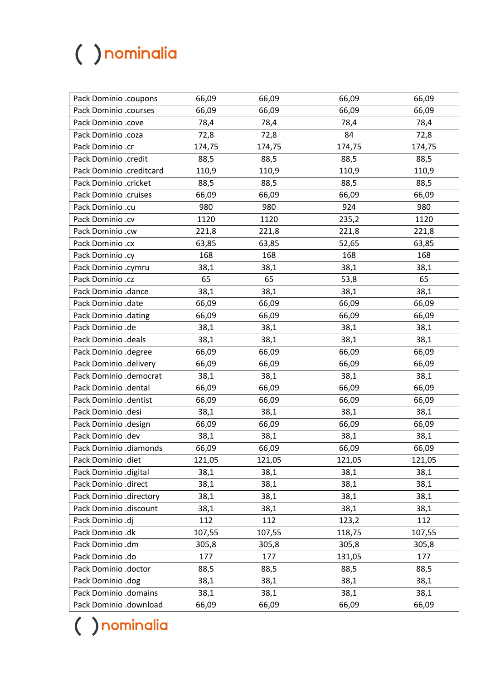| Pack Dominio .coupons    | 66,09  | 66,09  | 66,09  | 66,09  |
|--------------------------|--------|--------|--------|--------|
| Pack Dominio .courses    | 66,09  | 66,09  | 66,09  | 66,09  |
| Pack Dominio .cove       | 78,4   | 78,4   | 78,4   | 78,4   |
| Pack Dominio .coza       | 72,8   | 72,8   | 84     | 72,8   |
| Pack Dominio .cr         | 174,75 | 174,75 | 174,75 | 174,75 |
| Pack Dominio .credit     | 88,5   | 88,5   | 88,5   | 88,5   |
| Pack Dominio .creditcard | 110,9  | 110,9  | 110,9  | 110,9  |
| Pack Dominio .cricket    | 88,5   | 88,5   | 88,5   | 88,5   |
| Pack Dominio .cruises    | 66,09  | 66,09  | 66,09  | 66,09  |
| Pack Dominio .cu         | 980    | 980    | 924    | 980    |
| Pack Dominio .cv         | 1120   | 1120   | 235,2  | 1120   |
| Pack Dominio .cw         | 221,8  | 221,8  | 221,8  | 221,8  |
| Pack Dominio .cx         | 63,85  | 63,85  | 52,65  | 63,85  |
| Pack Dominio .cy         | 168    | 168    | 168    | 168    |
| Pack Dominio .cymru      | 38,1   | 38,1   | 38,1   | 38,1   |
| Pack Dominio .cz         | 65     | 65     | 53,8   | 65     |
| Pack Dominio .dance      | 38,1   | 38,1   | 38,1   | 38,1   |
| Pack Dominio .date       | 66,09  | 66,09  | 66,09  | 66,09  |
| Pack Dominio .dating     | 66,09  | 66,09  | 66,09  | 66,09  |
| Pack Dominio .de         | 38,1   | 38,1   | 38,1   | 38,1   |
| Pack Dominio .deals      | 38,1   | 38,1   | 38,1   | 38,1   |
| Pack Dominio .degree     | 66,09  | 66,09  | 66,09  | 66,09  |
| Pack Dominio .delivery   | 66,09  | 66,09  | 66,09  | 66,09  |
| Pack Dominio .democrat   | 38,1   | 38,1   | 38,1   | 38,1   |
| Pack Dominio .dental     | 66,09  | 66,09  | 66,09  | 66,09  |
| Pack Dominio .dentist    | 66,09  | 66,09  | 66,09  | 66,09  |
| Pack Dominio .desi       | 38,1   | 38,1   | 38,1   | 38,1   |
| Pack Dominio .design     | 66,09  | 66,09  | 66,09  | 66,09  |
| Pack Dominio .dev        | 38,1   | 38,1   | 38,1   | 38,1   |
| Pack Dominio .diamonds   | 66,09  | 66,09  | 66,09  | 66,09  |
| Pack Dominio .diet       | 121,05 | 121,05 | 121,05 | 121,05 |
| Pack Dominio .digital    | 38,1   | 38,1   | 38,1   | 38,1   |
| Pack Dominio .direct     | 38,1   | 38,1   | 38,1   | 38,1   |
| Pack Dominio .directory  | 38,1   | 38,1   | 38,1   | 38,1   |
| Pack Dominio .discount   | 38,1   | 38,1   | 38,1   | 38,1   |
| Pack Dominio .dj         | 112    | 112    | 123,2  | 112    |
| Pack Dominio .dk         | 107,55 | 107,55 | 118,75 | 107,55 |
| Pack Dominio .dm         | 305,8  | 305,8  | 305,8  | 305,8  |
| Pack Dominio .do         | 177    | 177    | 131,05 | 177    |
| Pack Dominio .doctor     | 88,5   | 88,5   | 88,5   | 88,5   |
| Pack Dominio .dog        | 38,1   | 38,1   | 38,1   | 38,1   |
| Pack Dominio .domains    | 38,1   | 38,1   | 38,1   | 38,1   |
| Pack Dominio .download   | 66,09  | 66,09  | 66,09  | 66,09  |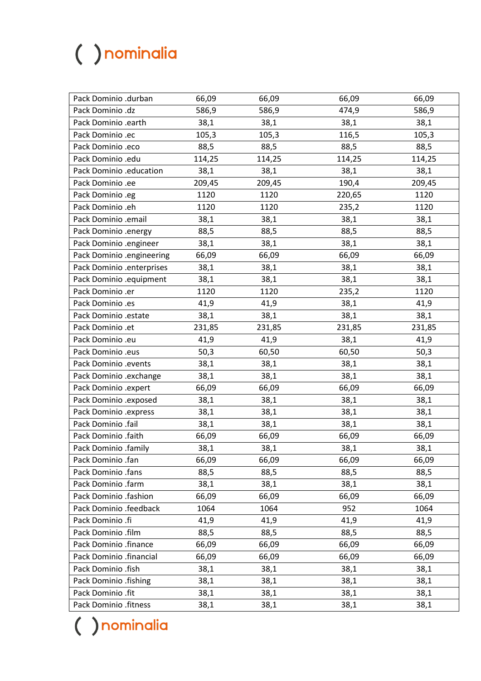| Pack Dominio .durban      | 66,09  | 66,09  | 66,09  | 66,09  |
|---------------------------|--------|--------|--------|--------|
| Pack Dominio .dz          | 586,9  | 586,9  | 474,9  | 586,9  |
| Pack Dominio .earth       | 38,1   | 38,1   | 38,1   | 38,1   |
| Pack Dominio .ec          | 105,3  | 105,3  | 116,5  | 105,3  |
| Pack Dominio .eco         | 88,5   | 88,5   | 88,5   | 88,5   |
| Pack Dominio .edu         | 114,25 | 114,25 | 114,25 | 114,25 |
| Pack Dominio .education   | 38,1   | 38,1   | 38,1   | 38,1   |
| Pack Dominio .ee          | 209,45 | 209,45 | 190,4  | 209,45 |
| Pack Dominio .eg          | 1120   | 1120   | 220,65 | 1120   |
| Pack Dominio .eh          | 1120   | 1120   | 235,2  | 1120   |
| Pack Dominio .email       | 38,1   | 38,1   | 38,1   | 38,1   |
| Pack Dominio .energy      | 88,5   | 88,5   | 88,5   | 88,5   |
| Pack Dominio .engineer    | 38,1   | 38,1   | 38,1   | 38,1   |
| Pack Dominio .engineering | 66,09  | 66,09  | 66,09  | 66,09  |
| Pack Dominio .enterprises | 38,1   | 38,1   | 38,1   | 38,1   |
| Pack Dominio .equipment   | 38,1   | 38,1   | 38,1   | 38,1   |
| Pack Dominio .er          | 1120   | 1120   | 235,2  | 1120   |
| Pack Dominio .es          | 41,9   | 41,9   | 38,1   | 41,9   |
| Pack Dominio .estate      | 38,1   | 38,1   | 38,1   | 38,1   |
| Pack Dominio .et          | 231,85 | 231,85 | 231,85 | 231,85 |
| Pack Dominio .eu          | 41,9   | 41,9   | 38,1   | 41,9   |
| Pack Dominio .eus         | 50,3   | 60,50  | 60,50  | 50,3   |
| Pack Dominio .events      | 38,1   | 38,1   | 38,1   | 38,1   |
| Pack Dominio .exchange    | 38,1   | 38,1   | 38,1   | 38,1   |
| Pack Dominio .expert      | 66,09  | 66,09  | 66,09  | 66,09  |
| Pack Dominio .exposed     | 38,1   | 38,1   | 38,1   | 38,1   |
| Pack Dominio .express     | 38,1   | 38,1   | 38,1   | 38,1   |
| Pack Dominio .fail        | 38,1   | 38,1   | 38,1   | 38,1   |
| Pack Dominio .faith       | 66,09  | 66,09  | 66,09  | 66,09  |
| Pack Dominio .family      | 38,1   | 38,1   | 38,1   | 38,1   |
| Pack Dominio .fan         | 66,09  | 66,09  | 66,09  | 66,09  |
| Pack Dominio .fans        | 88,5   | 88,5   | 88,5   | 88,5   |
| Pack Dominio .farm        | 38,1   | 38,1   | 38,1   | 38,1   |
| Pack Dominio .fashion     | 66,09  | 66,09  | 66,09  | 66,09  |
| Pack Dominio .feedback    | 1064   | 1064   | 952    | 1064   |
| Pack Dominio .fi          | 41,9   | 41,9   | 41,9   | 41,9   |
| Pack Dominio .film        | 88,5   | 88,5   | 88,5   | 88,5   |
| Pack Dominio .finance     | 66,09  | 66,09  | 66,09  | 66,09  |
| Pack Dominio .financial   | 66,09  | 66,09  | 66,09  | 66,09  |
| Pack Dominio .fish        | 38,1   | 38,1   | 38,1   | 38,1   |
| Pack Dominio .fishing     | 38,1   | 38,1   | 38,1   | 38,1   |
| Pack Dominio .fit         | 38,1   | 38,1   | 38,1   | 38,1   |
| Pack Dominio .fitness     | 38,1   | 38,1   | 38,1   | 38,1   |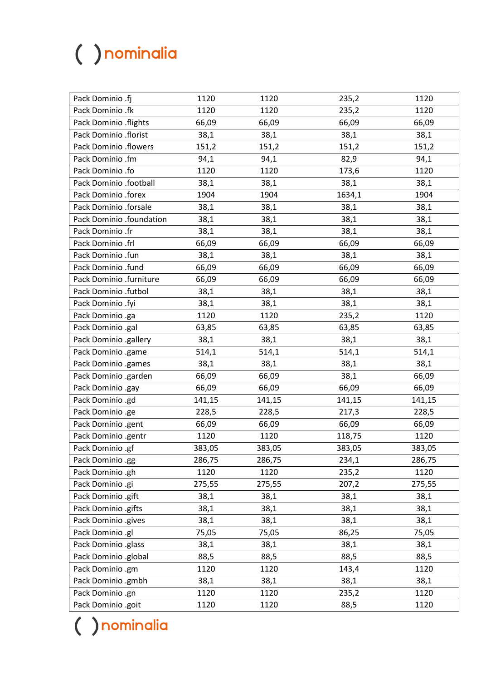| Pack Dominio .fj         | 1120   | 1120   | 235,2  | 1120   |
|--------------------------|--------|--------|--------|--------|
| Pack Dominio .fk         | 1120   | 1120   | 235,2  | 1120   |
| Pack Dominio .flights    | 66,09  | 66,09  | 66,09  | 66,09  |
| Pack Dominio .florist    | 38,1   | 38,1   | 38,1   | 38,1   |
| Pack Dominio .flowers    | 151,2  | 151,2  | 151,2  | 151,2  |
| Pack Dominio .fm         | 94,1   | 94,1   | 82,9   | 94,1   |
| Pack Dominio .fo         | 1120   | 1120   | 173,6  | 1120   |
| Pack Dominio .football   | 38,1   | 38,1   | 38,1   | 38,1   |
| Pack Dominio .forex      | 1904   | 1904   | 1634,1 | 1904   |
| Pack Dominio .forsale    | 38,1   | 38,1   | 38,1   | 38,1   |
| Pack Dominio .foundation | 38,1   | 38,1   | 38,1   | 38,1   |
| Pack Dominio .fr         | 38,1   | 38,1   | 38,1   | 38,1   |
| Pack Dominio .frl        | 66,09  | 66,09  | 66,09  | 66,09  |
| Pack Dominio .fun        | 38,1   | 38,1   | 38,1   | 38,1   |
| Pack Dominio .fund       | 66,09  | 66,09  | 66,09  | 66,09  |
| Pack Dominio .furniture  | 66,09  | 66,09  | 66,09  | 66,09  |
| Pack Dominio .futbol     | 38,1   | 38,1   | 38,1   | 38,1   |
| Pack Dominio .fyi        | 38,1   | 38,1   | 38,1   | 38,1   |
| Pack Dominio .ga         | 1120   | 1120   | 235,2  | 1120   |
| Pack Dominio .gal        | 63,85  | 63,85  | 63,85  | 63,85  |
| Pack Dominio .gallery    | 38,1   | 38,1   | 38,1   | 38,1   |
| Pack Dominio .game       | 514,1  | 514,1  | 514,1  | 514,1  |
| Pack Dominio .games      | 38,1   | 38,1   | 38,1   | 38,1   |
| Pack Dominio .garden     | 66,09  | 66,09  | 38,1   | 66,09  |
| Pack Dominio .gay        | 66,09  | 66,09  | 66,09  | 66,09  |
| Pack Dominio .gd         | 141,15 | 141,15 | 141,15 | 141,15 |
| Pack Dominio .ge         | 228,5  | 228,5  | 217,3  | 228,5  |
| Pack Dominio .gent       | 66,09  | 66,09  | 66,09  | 66,09  |
| Pack Dominio .gentr      | 1120   | 1120   | 118,75 | 1120   |
| Pack Dominio .gf         | 383,05 | 383,05 | 383,05 | 383,05 |
| Pack Dominio .gg         | 286,75 | 286,75 | 234,1  | 286,75 |
| Pack Dominio .gh         | 1120   | 1120   | 235,2  | 1120   |
| Pack Dominio .gi         | 275,55 | 275,55 | 207,2  | 275,55 |
| Pack Dominio .gift       | 38,1   | 38,1   | 38,1   | 38,1   |
| Pack Dominio .gifts      | 38,1   | 38,1   | 38,1   | 38,1   |
| Pack Dominio .gives      | 38,1   | 38,1   | 38,1   | 38,1   |
| Pack Dominio .gl         | 75,05  | 75,05  | 86,25  | 75,05  |
| Pack Dominio .glass      | 38,1   | 38,1   | 38,1   | 38,1   |
| Pack Dominio .global     | 88,5   | 88,5   | 88,5   | 88,5   |
| Pack Dominio .gm         | 1120   | 1120   | 143,4  | 1120   |
| Pack Dominio .gmbh       | 38,1   | 38,1   | 38,1   | 38,1   |
| Pack Dominio .gn         | 1120   | 1120   | 235,2  | 1120   |
| Pack Dominio .goit       | 1120   | 1120   | 88,5   | 1120   |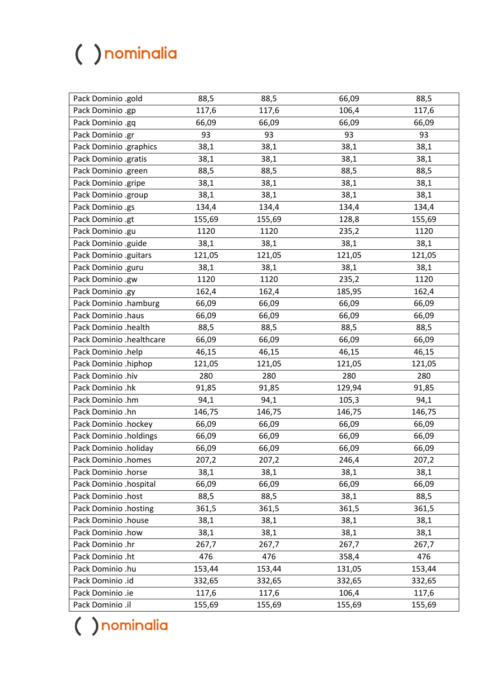| Pack Dominio .gold       | 88,5   | 88,5   | 66,09  | 88,5   |
|--------------------------|--------|--------|--------|--------|
| Pack Dominio .gp         | 117,6  | 117,6  | 106,4  | 117,6  |
| Pack Dominio .gq         | 66,09  | 66,09  | 66,09  | 66,09  |
| Pack Dominio .gr         | 93     | 93     | 93     | 93     |
| Pack Dominio .graphics   | 38,1   | 38,1   | 38,1   | 38,1   |
| Pack Dominio .gratis     | 38,1   | 38,1   | 38,1   | 38,1   |
| Pack Dominio .green      | 88,5   | 88,5   | 88,5   | 88,5   |
| Pack Dominio .gripe      | 38,1   | 38,1   | 38,1   | 38,1   |
| Pack Dominio .group      | 38,1   | 38,1   | 38,1   | 38,1   |
| Pack Dominio .gs         | 134,4  | 134,4  | 134,4  | 134,4  |
| Pack Dominio .gt         | 155,69 | 155,69 | 128,8  | 155,69 |
| Pack Dominio .gu         | 1120   | 1120   | 235,2  | 1120   |
| Pack Dominio .guide      | 38,1   | 38,1   | 38,1   | 38,1   |
| Pack Dominio .guitars    | 121,05 | 121,05 | 121,05 | 121,05 |
| Pack Dominio .guru       | 38,1   | 38,1   | 38,1   | 38,1   |
| Pack Dominio .gw         | 1120   | 1120   | 235,2  | 1120   |
| Pack Dominio .gy         | 162,4  | 162,4  | 185,95 | 162,4  |
| Pack Dominio .hamburg    | 66,09  | 66,09  | 66,09  | 66,09  |
| Pack Dominio .haus       | 66,09  | 66,09  | 66,09  | 66,09  |
| Pack Dominio .health     | 88,5   | 88,5   | 88,5   | 88,5   |
| Pack Dominio .healthcare | 66,09  | 66,09  | 66,09  | 66,09  |
| Pack Dominio .help       | 46,15  | 46,15  | 46,15  | 46,15  |
| Pack Dominio .hiphop     | 121,05 | 121,05 | 121,05 | 121,05 |
| Pack Dominio .hiv        | 280    | 280    | 280    | 280    |
| Pack Dominio .hk         | 91,85  | 91,85  | 129,94 | 91,85  |
| Pack Dominio .hm         | 94,1   | 94,1   | 105,3  | 94,1   |
| Pack Dominio .hn         | 146,75 | 146,75 | 146,75 | 146,75 |
| Pack Dominio .hockey     | 66,09  | 66,09  | 66,09  | 66,09  |
| Pack Dominio .holdings   | 66,09  | 66,09  | 66,09  | 66,09  |
| Pack Dominio .holiday    | 66,09  | 66,09  | 66,09  | 66,09  |
| Pack Dominio .homes      | 207,2  | 207,2  | 246,4  | 207,2  |
| Pack Dominio .horse      | 38,1   | 38,1   | 38,1   | 38,1   |
| Pack Dominio .hospital   | 66,09  | 66,09  | 66,09  | 66,09  |
| Pack Dominio .host       | 88,5   | 88,5   | 38,1   | 88,5   |
| Pack Dominio .hosting    | 361,5  | 361,5  | 361,5  | 361,5  |
| Pack Dominio .house      | 38,1   | 38,1   | 38,1   | 38,1   |
| Pack Dominio .how        | 38,1   | 38,1   | 38,1   | 38,1   |
| Pack Dominio .hr         | 267,7  | 267,7  | 267,7  | 267,7  |
| Pack Dominio .ht         | 476    | 476    | 358,4  | 476    |
| Pack Dominio .hu         | 153,44 | 153,44 | 131,05 | 153,44 |
| Pack Dominio .id         | 332,65 | 332,65 | 332,65 | 332,65 |
| Pack Dominio .ie         | 117,6  | 117,6  | 106,4  | 117,6  |
| Pack Dominio .il         | 155,69 | 155,69 | 155,69 | 155,69 |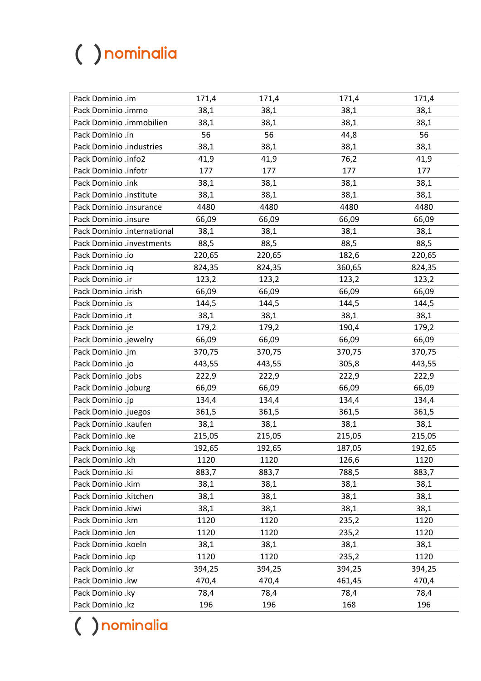| Pack Dominio .im            | 171,4  | 171,4  | 171,4  | 171,4  |
|-----------------------------|--------|--------|--------|--------|
| Pack Dominio .immo          | 38,1   | 38,1   | 38,1   | 38,1   |
| Pack Dominio .immobilien    | 38,1   | 38,1   | 38,1   | 38,1   |
| Pack Dominio .in            | 56     | 56     | 44,8   | 56     |
| Pack Dominio .industries    | 38,1   | 38,1   | 38,1   | 38,1   |
| Pack Dominio .info2         | 41,9   | 41,9   | 76,2   | 41,9   |
| Pack Dominio .infotr        | 177    | 177    | 177    | 177    |
| Pack Dominio .ink           | 38,1   | 38,1   | 38,1   | 38,1   |
| Pack Dominio .institute     | 38,1   | 38,1   | 38,1   | 38,1   |
| Pack Dominio .insurance     | 4480   | 4480   | 4480   | 4480   |
| Pack Dominio .insure        | 66,09  | 66,09  | 66,09  | 66,09  |
| Pack Dominio .international | 38,1   | 38,1   | 38,1   | 38,1   |
| Pack Dominio .investments   | 88,5   | 88,5   | 88,5   | 88,5   |
| Pack Dominio .io            | 220,65 | 220,65 | 182,6  | 220,65 |
| Pack Dominio .iq            | 824,35 | 824,35 | 360,65 | 824,35 |
| Pack Dominio .ir            | 123,2  | 123,2  | 123,2  | 123,2  |
| Pack Dominio .irish         | 66,09  | 66,09  | 66,09  | 66,09  |
| Pack Dominio .is            | 144,5  | 144,5  | 144,5  | 144,5  |
| Pack Dominio .it            | 38,1   | 38,1   | 38,1   | 38,1   |
| Pack Dominio .je            | 179,2  | 179,2  | 190,4  | 179,2  |
| Pack Dominio .jewelry       | 66,09  | 66,09  | 66,09  | 66,09  |
| Pack Dominio .jm            | 370,75 | 370,75 | 370,75 | 370,75 |
| Pack Dominio .jo            | 443,55 | 443,55 | 305,8  | 443,55 |
| Pack Dominio .jobs          | 222,9  | 222,9  | 222,9  | 222,9  |
| Pack Dominio .joburg        | 66,09  | 66,09  | 66,09  | 66,09  |
| Pack Dominio .jp            | 134,4  | 134,4  | 134,4  | 134,4  |
| Pack Dominio .juegos        | 361,5  | 361,5  | 361,5  | 361,5  |
| Pack Dominio .kaufen        | 38,1   | 38,1   | 38,1   | 38,1   |
| Pack Dominio .ke            | 215,05 | 215,05 | 215,05 | 215,05 |
| Pack Dominio .kg            | 192,65 | 192,65 | 187,05 | 192,65 |
| Pack Dominio .kh            | 1120   | 1120   | 126,6  | 1120   |
| Pack Dominio .ki            | 883,7  | 883,7  | 788,5  | 883,7  |
| Pack Dominio .kim           | 38,1   | 38,1   | 38,1   | 38,1   |
| Pack Dominio .kitchen       | 38,1   | 38,1   | 38,1   | 38,1   |
| Pack Dominio .kiwi          | 38,1   | 38,1   | 38,1   | 38,1   |
| Pack Dominio .km            | 1120   | 1120   | 235,2  | 1120   |
| Pack Dominio .kn            | 1120   | 1120   | 235,2  | 1120   |
| Pack Dominio .koeln         | 38,1   | 38,1   | 38,1   | 38,1   |
| Pack Dominio .kp            | 1120   | 1120   | 235,2  | 1120   |
| Pack Dominio .kr            | 394,25 | 394,25 | 394,25 | 394,25 |
| Pack Dominio .kw            | 470,4  | 470,4  | 461,45 | 470,4  |
| Pack Dominio .ky            | 78,4   | 78,4   | 78,4   | 78,4   |
| Pack Dominio .kz            | 196    | 196    | 168    | 196    |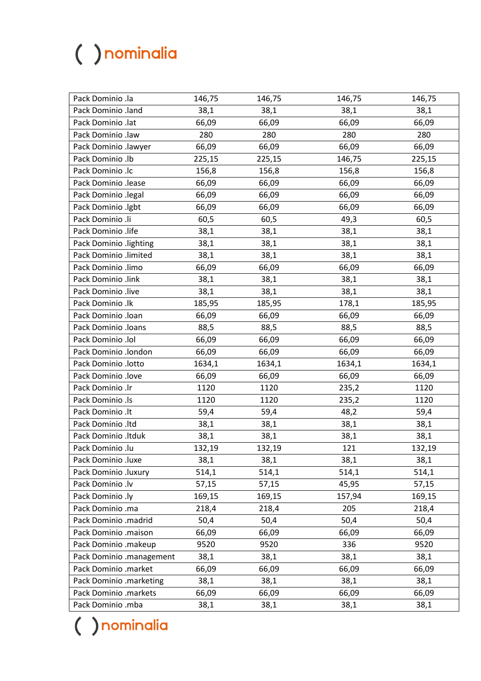| Pack Dominio .la         | 146,75 | 146,75 | 146,75 | 146,75 |
|--------------------------|--------|--------|--------|--------|
| Pack Dominio .land       | 38,1   | 38,1   | 38,1   | 38,1   |
| Pack Dominio .lat        | 66,09  | 66,09  | 66,09  | 66,09  |
| Pack Dominio .law        | 280    | 280    | 280    | 280    |
| Pack Dominio .lawyer     | 66,09  | 66,09  | 66,09  | 66,09  |
| Pack Dominio .lb         | 225,15 | 225,15 | 146,75 | 225,15 |
| Pack Dominio .lc         | 156,8  | 156,8  | 156,8  | 156,8  |
| Pack Dominio .lease      | 66,09  | 66,09  | 66,09  | 66,09  |
| Pack Dominio .legal      | 66,09  | 66,09  | 66,09  | 66,09  |
| Pack Dominio .lgbt       | 66,09  | 66,09  | 66,09  | 66,09  |
| Pack Dominio .li         | 60,5   | 60,5   | 49,3   | 60,5   |
| Pack Dominio .life       | 38,1   | 38,1   | 38,1   | 38,1   |
| Pack Dominio .lighting   | 38,1   | 38,1   | 38,1   | 38,1   |
| Pack Dominio .limited    | 38,1   | 38,1   | 38,1   | 38,1   |
| Pack Dominio .limo       | 66,09  | 66,09  | 66,09  | 66,09  |
| Pack Dominio .link       | 38,1   | 38,1   | 38,1   | 38,1   |
| Pack Dominio .live       | 38,1   | 38,1   | 38,1   | 38,1   |
| Pack Dominio .lk         | 185,95 | 185,95 | 178,1  | 185,95 |
| Pack Dominio .loan       | 66,09  | 66,09  | 66,09  | 66,09  |
| Pack Dominio .loans      | 88,5   | 88,5   | 88,5   | 88,5   |
| Pack Dominio .lol        | 66,09  | 66,09  | 66,09  | 66,09  |
| Pack Dominio .london     | 66,09  | 66,09  | 66,09  | 66,09  |
| Pack Dominio .lotto      | 1634,1 | 1634,1 | 1634,1 | 1634,1 |
| Pack Dominio .love       | 66,09  | 66,09  | 66,09  | 66,09  |
| Pack Dominio .lr         | 1120   | 1120   | 235,2  | 1120   |
| Pack Dominio .ls         | 1120   | 1120   | 235,2  | 1120   |
| Pack Dominio .lt         | 59,4   | 59,4   | 48,2   | 59,4   |
| Pack Dominio .ltd        | 38,1   | 38,1   | 38,1   | 38,1   |
| Pack Dominio .ltduk      | 38,1   | 38,1   | 38,1   | 38,1   |
| Pack Dominio .lu         | 132,19 | 132,19 | 121    | 132,19 |
| Pack Dominio .luxe       | 38,1   | 38,1   | 38,1   | 38,1   |
| Pack Dominio .luxury     | 514,1  | 514,1  | 514,1  | 514,1  |
| Pack Dominio .lv         | 57,15  | 57,15  | 45,95  | 57,15  |
| Pack Dominio .ly         | 169,15 | 169,15 | 157,94 | 169,15 |
| Pack Dominio .ma         | 218,4  | 218,4  | 205    | 218,4  |
| Pack Dominio .madrid     | 50,4   | 50,4   | 50,4   | 50,4   |
| Pack Dominio .maison     | 66,09  | 66,09  | 66,09  | 66,09  |
| Pack Dominio .makeup     | 9520   | 9520   | 336    | 9520   |
| Pack Dominio .management | 38,1   | 38,1   | 38,1   | 38,1   |
| Pack Dominio .market     | 66,09  | 66,09  | 66,09  | 66,09  |
| Pack Dominio .marketing  | 38,1   | 38,1   | 38,1   | 38,1   |
| Pack Dominio .markets    | 66,09  | 66,09  | 66,09  | 66,09  |
| Pack Dominio .mba        | 38,1   | 38,1   | 38,1   | 38,1   |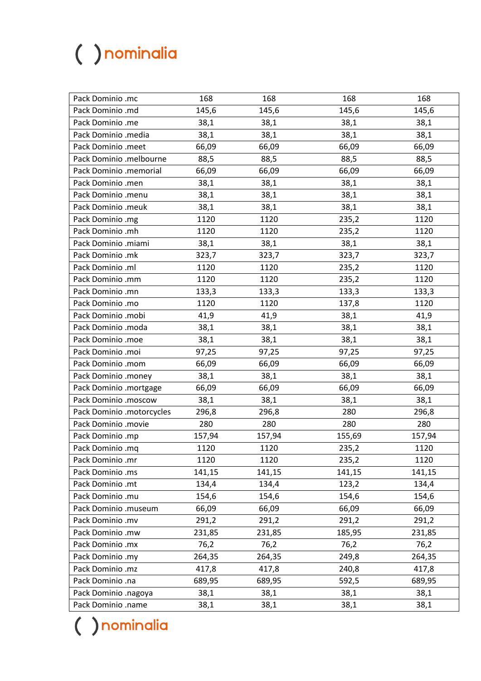| Pack Dominio .mc          | 168    | 168    | 168    | 168    |
|---------------------------|--------|--------|--------|--------|
| Pack Dominio .md          | 145,6  | 145,6  | 145,6  | 145,6  |
| Pack Dominio .me          | 38,1   | 38,1   | 38,1   | 38,1   |
| Pack Dominio .media       | 38,1   | 38,1   | 38,1   | 38,1   |
| Pack Dominio .meet        | 66,09  | 66,09  | 66,09  | 66,09  |
| Pack Dominio .melbourne   | 88,5   | 88,5   | 88,5   | 88,5   |
| Pack Dominio .memorial    | 66,09  | 66,09  | 66,09  | 66,09  |
| Pack Dominio .men         | 38,1   | 38,1   | 38,1   | 38,1   |
| Pack Dominio .menu        | 38,1   | 38,1   | 38,1   | 38,1   |
| Pack Dominio .meuk        | 38,1   | 38,1   | 38,1   | 38,1   |
| Pack Dominio .mg          | 1120   | 1120   | 235,2  | 1120   |
| Pack Dominio .mh          | 1120   | 1120   | 235,2  | 1120   |
| Pack Dominio .miami       | 38,1   | 38,1   | 38,1   | 38,1   |
| Pack Dominio .mk          | 323,7  | 323,7  | 323,7  | 323,7  |
| Pack Dominio .ml          | 1120   | 1120   | 235,2  | 1120   |
| Pack Dominio .mm          | 1120   | 1120   | 235,2  | 1120   |
| Pack Dominio .mn          | 133,3  | 133,3  | 133,3  | 133,3  |
| Pack Dominio .mo          | 1120   | 1120   | 137,8  | 1120   |
| Pack Dominio .mobi        | 41,9   | 41,9   | 38,1   | 41,9   |
| Pack Dominio .moda        | 38,1   | 38,1   | 38,1   | 38,1   |
| Pack Dominio .moe         | 38,1   | 38,1   | 38,1   | 38,1   |
| Pack Dominio .moi         | 97,25  | 97,25  | 97,25  | 97,25  |
| Pack Dominio .mom         | 66,09  | 66,09  | 66,09  | 66,09  |
| Pack Dominio .money       | 38,1   | 38,1   | 38,1   | 38,1   |
| Pack Dominio .mortgage    | 66,09  | 66,09  | 66,09  | 66,09  |
| Pack Dominio .moscow      | 38,1   | 38,1   | 38,1   | 38,1   |
| Pack Dominio .motorcycles | 296,8  | 296,8  | 280    | 296,8  |
| Pack Dominio .movie       | 280    | 280    | 280    | 280    |
| Pack Dominio .mp          | 157,94 | 157,94 | 155,69 | 157,94 |
| Pack Dominio .mq          | 1120   | 1120   | 235,2  | 1120   |
| Pack Dominio .mr          | 1120   | 1120   | 235,2  | 1120   |
| Pack Dominio .ms          | 141,15 | 141,15 | 141,15 | 141,15 |
| Pack Dominio .mt          | 134,4  | 134,4  | 123,2  | 134,4  |
| Pack Dominio .mu          | 154,6  | 154,6  | 154,6  | 154,6  |
| Pack Dominio .museum      | 66,09  | 66,09  | 66,09  | 66,09  |
| Pack Dominio .mv          | 291,2  | 291,2  | 291,2  | 291,2  |
| Pack Dominio .mw          | 231,85 | 231,85 | 185,95 | 231,85 |
| Pack Dominio .mx          | 76,2   | 76,2   | 76,2   | 76,2   |
| Pack Dominio .my          | 264,35 | 264,35 | 249,8  | 264,35 |
| Pack Dominio .mz          | 417,8  | 417,8  | 240,8  | 417,8  |
| Pack Dominio .na          | 689,95 | 689,95 | 592,5  | 689,95 |
| Pack Dominio .nagoya      | 38,1   | 38,1   | 38,1   | 38,1   |
| Pack Dominio .name        | 38,1   | 38,1   | 38,1   | 38,1   |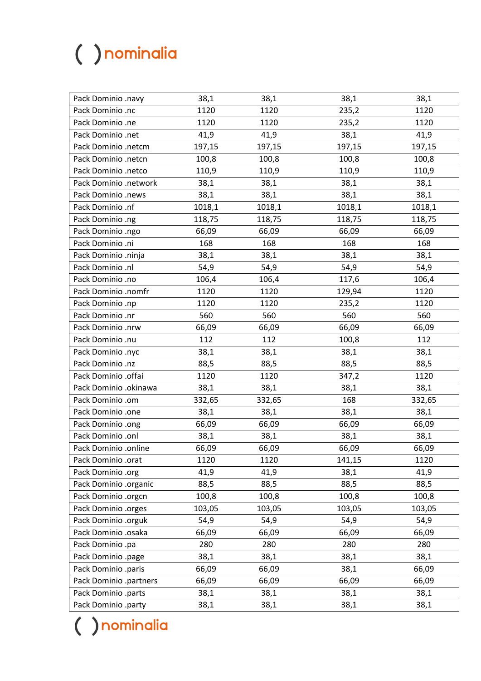| Pack Dominio .navy     | 38,1   | 38,1   | 38,1   | 38,1   |
|------------------------|--------|--------|--------|--------|
| Pack Dominio .nc       | 1120   | 1120   | 235,2  | 1120   |
| Pack Dominio .ne       | 1120   | 1120   | 235,2  | 1120   |
| Pack Dominio .net      | 41,9   | 41,9   | 38,1   | 41,9   |
| Pack Dominio .netcm    | 197,15 | 197,15 | 197,15 | 197,15 |
| Pack Dominio .netcn    | 100,8  | 100,8  | 100,8  | 100,8  |
| Pack Dominio .netco    | 110,9  | 110,9  | 110,9  | 110,9  |
| Pack Dominio .network  | 38,1   | 38,1   | 38,1   | 38,1   |
| Pack Dominio .news     | 38,1   | 38,1   | 38,1   | 38,1   |
| Pack Dominio .nf       | 1018,1 | 1018,1 | 1018,1 | 1018,1 |
| Pack Dominio .ng       | 118,75 | 118,75 | 118,75 | 118,75 |
| Pack Dominio .ngo      | 66,09  | 66,09  | 66,09  | 66,09  |
| Pack Dominio .ni       | 168    | 168    | 168    | 168    |
| Pack Dominio .ninja    | 38,1   | 38,1   | 38,1   | 38,1   |
| Pack Dominio .nl       | 54,9   | 54,9   | 54,9   | 54,9   |
| Pack Dominio .no       | 106,4  | 106,4  | 117,6  | 106,4  |
| Pack Dominio .nomfr    | 1120   | 1120   | 129,94 | 1120   |
| Pack Dominio .np       | 1120   | 1120   | 235,2  | 1120   |
| Pack Dominio .nr       | 560    | 560    | 560    | 560    |
| Pack Dominio .nrw      | 66,09  | 66,09  | 66,09  | 66,09  |
| Pack Dominio .nu       | 112    | 112    | 100,8  | 112    |
| Pack Dominio .nyc      | 38,1   | 38,1   | 38,1   | 38,1   |
| Pack Dominio .nz       | 88,5   | 88,5   | 88,5   | 88,5   |
| Pack Dominio .offai    | 1120   | 1120   | 347,2  | 1120   |
| Pack Dominio .okinawa  | 38,1   | 38,1   | 38,1   | 38,1   |
| Pack Dominio .om       | 332,65 | 332,65 | 168    | 332,65 |
| Pack Dominio .one      | 38,1   | 38,1   | 38,1   | 38,1   |
| Pack Dominio .ong      | 66,09  | 66,09  | 66,09  | 66,09  |
| Pack Dominio .onl      | 38,1   | 38,1   | 38,1   | 38,1   |
| Pack Dominio .online   | 66,09  | 66,09  | 66,09  | 66,09  |
| Pack Dominio .orat     | 1120   | 1120   | 141,15 | 1120   |
| Pack Dominio .org      | 41,9   | 41,9   | 38,1   | 41,9   |
| Pack Dominio .organic  | 88,5   | 88,5   | 88,5   | 88,5   |
| Pack Dominio .orgcn    | 100,8  | 100,8  | 100,8  | 100,8  |
| Pack Dominio .orges    | 103,05 | 103,05 | 103,05 | 103,05 |
| Pack Dominio .orguk    | 54,9   | 54,9   | 54,9   | 54,9   |
| Pack Dominio .osaka    | 66,09  | 66,09  | 66,09  | 66,09  |
| Pack Dominio .pa       | 280    | 280    | 280    | 280    |
| Pack Dominio .page     | 38,1   | 38,1   | 38,1   | 38,1   |
| Pack Dominio .paris    | 66,09  | 66,09  | 38,1   | 66,09  |
| Pack Dominio .partners | 66,09  | 66,09  | 66,09  | 66,09  |
| Pack Dominio .parts    | 38,1   | 38,1   | 38,1   | 38,1   |
| Pack Dominio .party    | 38,1   | 38,1   | 38,1   | 38,1   |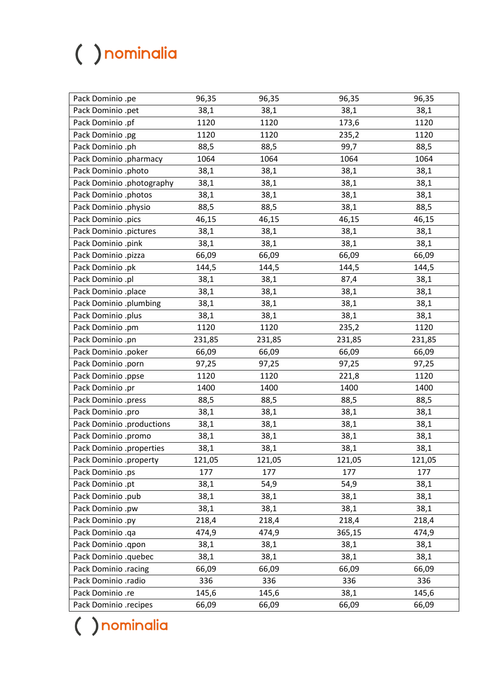| Pack Dominio .pe          | 96,35  | 96,35  | 96,35  | 96,35  |
|---------------------------|--------|--------|--------|--------|
| Pack Dominio .pet         | 38,1   | 38,1   | 38,1   | 38,1   |
| Pack Dominio .pf          | 1120   | 1120   | 173,6  | 1120   |
| Pack Dominio .pg          | 1120   | 1120   | 235,2  | 1120   |
| Pack Dominio .ph          | 88,5   | 88,5   | 99,7   | 88,5   |
| Pack Dominio .pharmacy    | 1064   | 1064   | 1064   | 1064   |
| Pack Dominio .photo       | 38,1   | 38,1   | 38,1   | 38,1   |
| Pack Dominio .photography | 38,1   | 38,1   | 38,1   | 38,1   |
| Pack Dominio .photos      | 38,1   | 38,1   | 38,1   | 38,1   |
| Pack Dominio .physio      | 88,5   | 88,5   | 38,1   | 88,5   |
| Pack Dominio .pics        | 46,15  | 46,15  | 46,15  | 46,15  |
| Pack Dominio .pictures    | 38,1   | 38,1   | 38,1   | 38,1   |
| Pack Dominio .pink        | 38,1   | 38,1   | 38,1   | 38,1   |
| Pack Dominio .pizza       | 66,09  | 66,09  | 66,09  | 66,09  |
| Pack Dominio .pk          | 144,5  | 144,5  | 144,5  | 144,5  |
| Pack Dominio .pl          | 38,1   | 38,1   | 87,4   | 38,1   |
| Pack Dominio .place       | 38,1   | 38,1   | 38,1   | 38,1   |
| Pack Dominio .plumbing    | 38,1   | 38,1   | 38,1   | 38,1   |
| Pack Dominio .plus        | 38,1   | 38,1   | 38,1   | 38,1   |
| Pack Dominio .pm          | 1120   | 1120   | 235,2  | 1120   |
| Pack Dominio .pn          | 231,85 | 231,85 | 231,85 | 231,85 |
| Pack Dominio .poker       | 66,09  | 66,09  | 66,09  | 66,09  |
| Pack Dominio .porn        | 97,25  | 97,25  | 97,25  | 97,25  |
| Pack Dominio .ppse        | 1120   | 1120   | 221,8  | 1120   |
| Pack Dominio .pr          | 1400   | 1400   | 1400   | 1400   |
| Pack Dominio .press       | 88,5   | 88,5   | 88,5   | 88,5   |
| Pack Dominio .pro         | 38,1   | 38,1   | 38,1   | 38,1   |
| Pack Dominio .productions | 38,1   | 38,1   | 38,1   | 38,1   |
| Pack Dominio .promo       | 38,1   | 38,1   | 38,1   | 38,1   |
| Pack Dominio .properties  | 38,1   | 38,1   | 38,1   | 38,1   |
| Pack Dominio .property    | 121,05 | 121,05 | 121,05 | 121,05 |
| Pack Dominio .ps          | 177    | 177    | 177    | 177    |
| Pack Dominio .pt          | 38,1   | 54,9   | 54,9   | 38,1   |
| Pack Dominio .pub         | 38,1   | 38,1   | 38,1   | 38,1   |
| Pack Dominio .pw          | 38,1   | 38,1   | 38,1   | 38,1   |
| Pack Dominio .py          | 218,4  | 218,4  | 218,4  | 218,4  |
| Pack Dominio .qa          | 474,9  | 474,9  | 365,15 | 474,9  |
| Pack Dominio .qpon        | 38,1   | 38,1   | 38,1   | 38,1   |
| Pack Dominio .quebec      | 38,1   | 38,1   | 38,1   | 38,1   |
| Pack Dominio .racing      | 66,09  | 66,09  | 66,09  | 66,09  |
| Pack Dominio .radio       | 336    | 336    | 336    | 336    |
| Pack Dominio .re          | 145,6  | 145,6  | 38,1   | 145,6  |
| Pack Dominio .recipes     | 66,09  | 66,09  | 66,09  | 66,09  |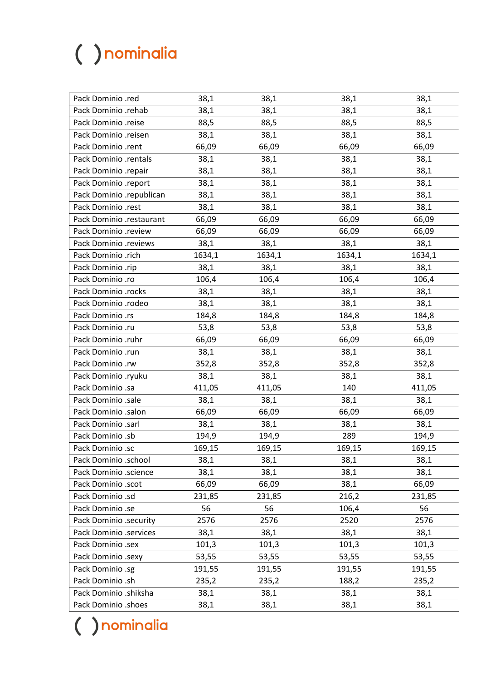| Pack Dominio .red        | 38,1   | 38,1   | 38,1   | 38,1   |
|--------------------------|--------|--------|--------|--------|
| Pack Dominio .rehab      | 38,1   | 38,1   | 38,1   | 38,1   |
| Pack Dominio .reise      | 88,5   | 88,5   | 88,5   | 88,5   |
| Pack Dominio .reisen     | 38,1   | 38,1   | 38,1   | 38,1   |
| Pack Dominio .rent       | 66,09  | 66,09  | 66,09  | 66,09  |
| Pack Dominio .rentals    | 38,1   | 38,1   | 38,1   | 38,1   |
| Pack Dominio .repair     | 38,1   | 38,1   | 38,1   | 38,1   |
| Pack Dominio .report     | 38,1   | 38,1   | 38,1   | 38,1   |
| Pack Dominio .republican | 38,1   | 38,1   | 38,1   | 38,1   |
| Pack Dominio .rest       | 38,1   | 38,1   | 38,1   | 38,1   |
| Pack Dominio .restaurant | 66,09  | 66,09  | 66,09  | 66,09  |
| Pack Dominio .review     | 66,09  | 66,09  | 66,09  | 66,09  |
| Pack Dominio .reviews    | 38,1   | 38,1   | 38,1   | 38,1   |
| Pack Dominio .rich       | 1634,1 | 1634,1 | 1634,1 | 1634,1 |
| Pack Dominio .rip        | 38,1   | 38,1   | 38,1   | 38,1   |
| Pack Dominio .ro         | 106,4  | 106,4  | 106,4  | 106,4  |
| Pack Dominio .rocks      | 38,1   | 38,1   | 38,1   | 38,1   |
| Pack Dominio .rodeo      | 38,1   | 38,1   | 38,1   | 38,1   |
| Pack Dominio .rs         | 184,8  | 184,8  | 184,8  | 184,8  |
| Pack Dominio .ru         | 53,8   | 53,8   | 53,8   | 53,8   |
| Pack Dominio .ruhr       | 66,09  | 66,09  | 66,09  | 66,09  |
| Pack Dominio .run        | 38,1   | 38,1   | 38,1   | 38,1   |
| Pack Dominio .rw         | 352,8  | 352,8  | 352,8  | 352,8  |
| Pack Dominio .ryuku      | 38,1   | 38,1   | 38,1   | 38,1   |
| Pack Dominio .sa         | 411,05 | 411,05 | 140    | 411,05 |
| Pack Dominio .sale       | 38,1   | 38,1   | 38,1   | 38,1   |
| Pack Dominio .salon      | 66,09  | 66,09  | 66,09  | 66,09  |
| Pack Dominio .sarl       | 38,1   | 38,1   | 38,1   | 38,1   |
| Pack Dominio .sb         | 194,9  | 194,9  | 289    | 194,9  |
| Pack Dominio .sc         | 169,15 | 169,15 | 169,15 | 169,15 |
| Pack Dominio .school     | 38,1   | 38,1   | 38,1   | 38,1   |
| Pack Dominio .science    | 38,1   | 38,1   | 38,1   | 38,1   |
| Pack Dominio .scot       | 66,09  | 66,09  | 38,1   | 66,09  |
| Pack Dominio .sd         | 231,85 | 231,85 | 216,2  | 231,85 |
| Pack Dominio .se         | 56     | 56     | 106,4  | 56     |
| Pack Dominio .security   | 2576   | 2576   | 2520   | 2576   |
| Pack Dominio .services   | 38,1   | 38,1   | 38,1   | 38,1   |
| Pack Dominio .sex        | 101,3  | 101,3  | 101,3  | 101,3  |
| Pack Dominio .sexy       | 53,55  | 53,55  | 53,55  | 53,55  |
| Pack Dominio .sg         | 191,55 | 191,55 | 191,55 | 191,55 |
| Pack Dominio .sh         | 235,2  | 235,2  | 188,2  | 235,2  |
| Pack Dominio .shiksha    | 38,1   | 38,1   | 38,1   | 38,1   |
| Pack Dominio .shoes      | 38,1   | 38,1   | 38,1   | 38,1   |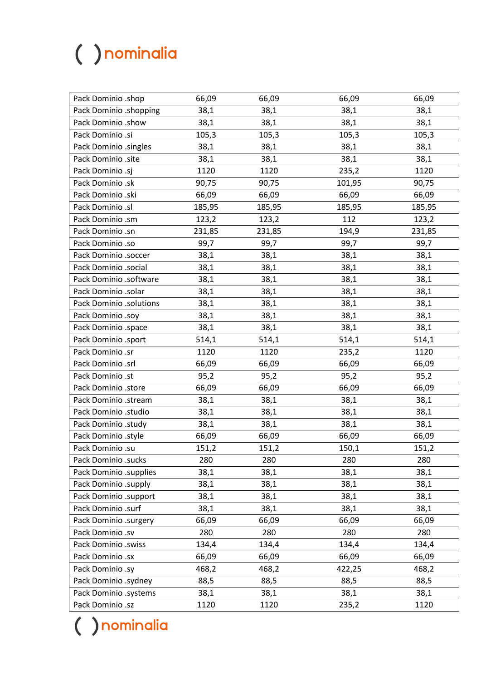| Pack Dominio .shop      | 66,09  | 66,09  | 66,09  | 66,09  |
|-------------------------|--------|--------|--------|--------|
| Pack Dominio .shopping  | 38,1   | 38,1   | 38,1   | 38,1   |
| Pack Dominio .show      | 38,1   | 38,1   | 38,1   | 38,1   |
| Pack Dominio .si        | 105,3  | 105,3  | 105,3  | 105,3  |
| Pack Dominio .singles   | 38,1   | 38,1   | 38,1   | 38,1   |
| Pack Dominio .site      | 38,1   | 38,1   | 38,1   | 38,1   |
| Pack Dominio .sj        | 1120   | 1120   | 235,2  | 1120   |
| Pack Dominio .sk        | 90,75  | 90,75  | 101,95 | 90,75  |
| Pack Dominio .ski       | 66,09  | 66,09  | 66,09  | 66,09  |
| Pack Dominio .sl        | 185,95 | 185,95 | 185,95 | 185,95 |
| Pack Dominio .sm        | 123,2  | 123,2  | 112    | 123,2  |
| Pack Dominio .sn        | 231,85 | 231,85 | 194,9  | 231,85 |
| Pack Dominio .so        | 99,7   | 99,7   | 99,7   | 99,7   |
| Pack Dominio .soccer    | 38,1   | 38,1   | 38,1   | 38,1   |
| Pack Dominio .social    | 38,1   | 38,1   | 38,1   | 38,1   |
| Pack Dominio .software  | 38,1   | 38,1   | 38,1   | 38,1   |
| Pack Dominio .solar     | 38,1   | 38,1   | 38,1   | 38,1   |
| Pack Dominio .solutions | 38,1   | 38,1   | 38,1   | 38,1   |
| Pack Dominio .soy       | 38,1   | 38,1   | 38,1   | 38,1   |
| Pack Dominio .space     | 38,1   | 38,1   | 38,1   | 38,1   |
| Pack Dominio .sport     | 514,1  | 514,1  | 514,1  | 514,1  |
| Pack Dominio .sr        | 1120   | 1120   | 235,2  | 1120   |
| Pack Dominio .srl       | 66,09  | 66,09  | 66,09  | 66,09  |
| Pack Dominio .st        | 95,2   | 95,2   | 95,2   | 95,2   |
| Pack Dominio .store     | 66,09  | 66,09  | 66,09  | 66,09  |
| Pack Dominio .stream    | 38,1   | 38,1   | 38,1   | 38,1   |
| Pack Dominio .studio    | 38,1   | 38,1   | 38,1   | 38,1   |
| Pack Dominio .study     | 38,1   | 38,1   | 38,1   | 38,1   |
| Pack Dominio .style     | 66,09  | 66,09  | 66,09  | 66,09  |
| Pack Dominio .su        | 151,2  | 151,2  | 150,1  | 151,2  |
| Pack Dominio .sucks     | 280    | 280    | 280    | 280    |
| Pack Dominio .supplies  | 38,1   | 38,1   | 38,1   | 38,1   |
| Pack Dominio .supply    | 38,1   | 38,1   | 38,1   | 38,1   |
| Pack Dominio .support   | 38,1   | 38,1   | 38,1   | 38,1   |
| Pack Dominio .surf      | 38,1   | 38,1   | 38,1   | 38,1   |
| Pack Dominio .surgery   | 66,09  | 66,09  | 66,09  | 66,09  |
| Pack Dominio .sv        | 280    | 280    | 280    | 280    |
| Pack Dominio .swiss     | 134,4  | 134,4  | 134,4  | 134,4  |
| Pack Dominio .sx        | 66,09  | 66,09  | 66,09  | 66,09  |
| Pack Dominio .sy        | 468,2  | 468,2  | 422,25 | 468,2  |
| Pack Dominio .sydney    | 88,5   | 88,5   | 88,5   | 88,5   |
| Pack Dominio .systems   | 38,1   | 38,1   | 38,1   | 38,1   |
| Pack Dominio .sz        | 1120   | 1120   | 235,2  | 1120   |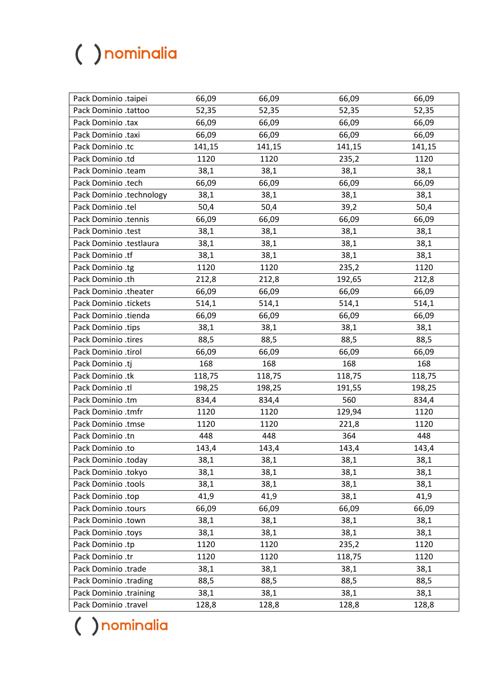| Pack Dominio .taipei     | 66,09  | 66,09  | 66,09  | 66,09  |
|--------------------------|--------|--------|--------|--------|
| Pack Dominio .tattoo     | 52,35  | 52,35  | 52,35  | 52,35  |
| Pack Dominio .tax        | 66,09  | 66,09  | 66,09  | 66,09  |
| Pack Dominio .taxi       | 66,09  | 66,09  | 66,09  | 66,09  |
| Pack Dominio .tc         | 141,15 | 141,15 | 141,15 | 141,15 |
| Pack Dominio .td         | 1120   | 1120   | 235,2  | 1120   |
| Pack Dominio .team       | 38,1   | 38,1   | 38,1   | 38,1   |
| Pack Dominio .tech       | 66,09  | 66,09  | 66,09  | 66,09  |
| Pack Dominio .technology | 38,1   | 38,1   | 38,1   | 38,1   |
| Pack Dominio .tel        | 50,4   | 50,4   | 39,2   | 50,4   |
| Pack Dominio .tennis     | 66,09  | 66,09  | 66,09  | 66,09  |
| Pack Dominio .test       | 38,1   | 38,1   | 38,1   | 38,1   |
| Pack Dominio .testlaura  | 38,1   | 38,1   | 38,1   | 38,1   |
| Pack Dominio .tf         | 38,1   | 38,1   | 38,1   | 38,1   |
| Pack Dominio .tg         | 1120   | 1120   | 235,2  | 1120   |
| Pack Dominio .th         | 212,8  | 212,8  | 192,65 | 212,8  |
| Pack Dominio .theater    | 66,09  | 66,09  | 66,09  | 66,09  |
| Pack Dominio .tickets    | 514,1  | 514,1  | 514,1  | 514,1  |
| Pack Dominio .tienda     | 66,09  | 66,09  | 66,09  | 66,09  |
| Pack Dominio .tips       | 38,1   | 38,1   | 38,1   | 38,1   |
| Pack Dominio .tires      | 88,5   | 88,5   | 88,5   | 88,5   |
| Pack Dominio .tirol      | 66,09  | 66,09  | 66,09  | 66,09  |
| Pack Dominio .tj         | 168    | 168    | 168    | 168    |
| Pack Dominio .tk         | 118,75 | 118,75 | 118,75 | 118,75 |
| Pack Dominio .tl         | 198,25 | 198,25 | 191,55 | 198,25 |
| Pack Dominio .tm         | 834,4  | 834,4  | 560    | 834,4  |
| Pack Dominio .tmfr       | 1120   | 1120   | 129,94 | 1120   |
| Pack Dominio .tmse       | 1120   | 1120   | 221,8  | 1120   |
| Pack Dominio .tn         | 448    | 448    | 364    | 448    |
| Pack Dominio .to         | 143,4  | 143,4  | 143,4  | 143,4  |
| Pack Dominio .today      | 38,1   | 38,1   | 38,1   | 38,1   |
| Pack Dominio .tokyo      | 38,1   | 38,1   | 38,1   | 38,1   |
| Pack Dominio .tools      | 38,1   | 38,1   | 38,1   | 38,1   |
| Pack Dominio .top        | 41,9   | 41,9   | 38,1   | 41,9   |
| Pack Dominio .tours      | 66,09  | 66,09  | 66,09  | 66,09  |
| Pack Dominio .town       | 38,1   | 38,1   | 38,1   | 38,1   |
| Pack Dominio .toys       | 38,1   | 38,1   | 38,1   | 38,1   |
| Pack Dominio .tp         | 1120   | 1120   | 235,2  | 1120   |
| Pack Dominio .tr         | 1120   | 1120   | 118,75 | 1120   |
| Pack Dominio .trade      | 38,1   | 38,1   | 38,1   | 38,1   |
| Pack Dominio .trading    | 88,5   | 88,5   | 88,5   | 88,5   |
| Pack Dominio .training   | 38,1   | 38,1   | 38,1   | 38,1   |
| Pack Dominio .travel     | 128,8  | 128,8  | 128,8  | 128,8  |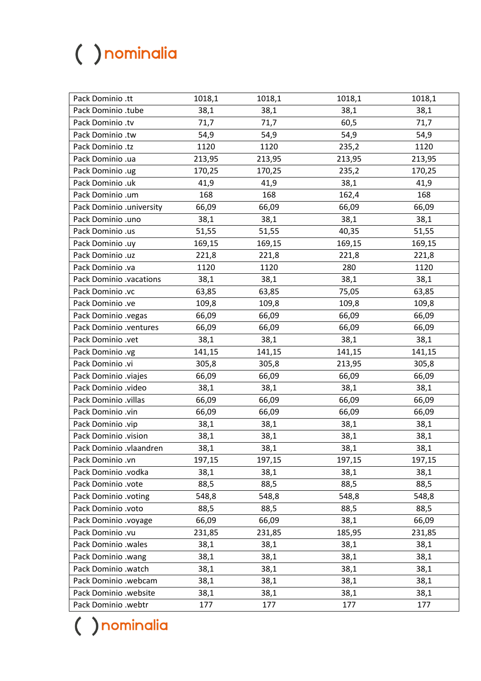| Pack Dominio .tt         | 1018,1 | 1018,1 | 1018,1 | 1018,1 |
|--------------------------|--------|--------|--------|--------|
| Pack Dominio .tube       | 38,1   | 38,1   | 38,1   | 38,1   |
| Pack Dominio .tv         | 71,7   | 71,7   | 60,5   | 71,7   |
| Pack Dominio .tw         | 54,9   | 54,9   | 54,9   | 54,9   |
| Pack Dominio .tz         | 1120   | 1120   | 235,2  | 1120   |
| Pack Dominio .ua         | 213,95 | 213,95 | 213,95 | 213,95 |
| Pack Dominio .ug         | 170,25 | 170,25 | 235,2  | 170,25 |
| Pack Dominio .uk         | 41,9   | 41,9   | 38,1   | 41,9   |
| Pack Dominio .um         | 168    | 168    | 162,4  | 168    |
| Pack Dominio .university | 66,09  | 66,09  | 66,09  | 66,09  |
| Pack Dominio .uno        | 38,1   | 38,1   | 38,1   | 38,1   |
| Pack Dominio .us         | 51,55  | 51,55  | 40,35  | 51,55  |
| Pack Dominio .uy         | 169,15 | 169,15 | 169,15 | 169,15 |
| Pack Dominio .uz         | 221,8  | 221,8  | 221,8  | 221,8  |
| Pack Dominio .va         | 1120   | 1120   | 280    | 1120   |
| Pack Dominio .vacations  | 38,1   | 38,1   | 38,1   | 38,1   |
| Pack Dominio .vc         | 63,85  | 63,85  | 75,05  | 63,85  |
| Pack Dominio .ve         | 109,8  | 109,8  | 109,8  | 109,8  |
| Pack Dominio .vegas      | 66,09  | 66,09  | 66,09  | 66,09  |
| Pack Dominio .ventures   | 66,09  | 66,09  | 66,09  | 66,09  |
| Pack Dominio .vet        | 38,1   | 38,1   | 38,1   | 38,1   |
| Pack Dominio .vg         | 141,15 | 141,15 | 141,15 | 141,15 |
| Pack Dominio .vi         | 305,8  | 305,8  | 213,95 | 305,8  |
| Pack Dominio .viajes     | 66,09  | 66,09  | 66,09  | 66,09  |
| Pack Dominio .video      | 38,1   | 38,1   | 38,1   | 38,1   |
| Pack Dominio .villas     | 66,09  | 66,09  | 66,09  | 66,09  |
| Pack Dominio .vin        | 66,09  | 66,09  | 66,09  | 66,09  |
| Pack Dominio .vip        | 38,1   | 38,1   | 38,1   | 38,1   |
| Pack Dominio .vision     | 38,1   | 38,1   | 38,1   | 38,1   |
| Pack Dominio .vlaandren  | 38,1   | 38,1   | 38,1   | 38,1   |
| Pack Dominio .vn         | 197,15 | 197,15 | 197,15 | 197,15 |
| Pack Dominio .vodka      | 38,1   | 38,1   | 38,1   | 38,1   |
| Pack Dominio .vote       | 88,5   | 88,5   | 88,5   | 88,5   |
| Pack Dominio .voting     | 548,8  | 548,8  | 548,8  | 548,8  |
| Pack Dominio .voto       | 88,5   | 88,5   | 88,5   | 88,5   |
| Pack Dominio .voyage     | 66,09  | 66,09  | 38,1   | 66,09  |
| Pack Dominio .vu         | 231,85 | 231,85 | 185,95 | 231,85 |
| Pack Dominio .wales      | 38,1   | 38,1   | 38,1   | 38,1   |
| Pack Dominio .wang       | 38,1   | 38,1   | 38,1   | 38,1   |
| Pack Dominio .watch      | 38,1   | 38,1   | 38,1   | 38,1   |
| Pack Dominio .webcam     | 38,1   | 38,1   | 38,1   | 38,1   |
| Pack Dominio .website    | 38,1   | 38,1   | 38,1   | 38,1   |
| Pack Dominio .webtr      | 177    | 177    | 177    | 177    |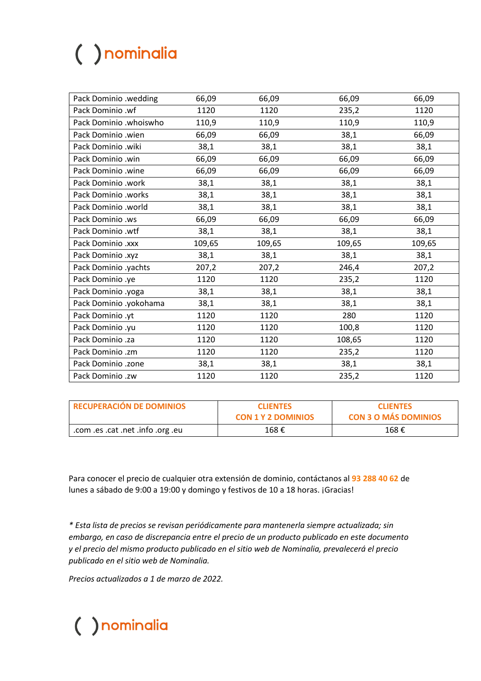| Pack Dominio .wedding  | 66,09  | 66,09  | 66,09  | 66,09  |
|------------------------|--------|--------|--------|--------|
| Pack Dominio .wf       | 1120   | 1120   | 235,2  | 1120   |
| Pack Dominio .whoiswho | 110,9  | 110,9  | 110,9  | 110,9  |
| Pack Dominio .wien     | 66,09  | 66,09  | 38,1   | 66,09  |
| Pack Dominio .wiki     | 38,1   | 38,1   | 38,1   | 38,1   |
| Pack Dominio .win      | 66,09  | 66,09  | 66,09  | 66,09  |
| Pack Dominio .wine     | 66,09  | 66,09  | 66,09  | 66,09  |
| Pack Dominio .work     | 38,1   | 38,1   | 38,1   | 38,1   |
| Pack Dominio .works    | 38,1   | 38,1   | 38,1   | 38,1   |
| Pack Dominio .world    | 38,1   | 38,1   | 38,1   | 38,1   |
| Pack Dominio .ws       | 66,09  | 66,09  | 66,09  | 66,09  |
| Pack Dominio .wtf      | 38,1   | 38,1   | 38,1   | 38,1   |
| Pack Dominio .xxx      | 109,65 | 109,65 | 109,65 | 109,65 |
| Pack Dominio .xyz      | 38,1   | 38,1   | 38,1   | 38,1   |
| Pack Dominio .yachts   | 207,2  | 207,2  | 246,4  | 207,2  |
| Pack Dominio .ye       | 1120   | 1120   | 235,2  | 1120   |
| Pack Dominio .yoga     | 38,1   | 38,1   | 38,1   | 38,1   |
| Pack Dominio .yokohama | 38,1   | 38,1   | 38,1   | 38,1   |
| Pack Dominio .yt       | 1120   | 1120   | 280    | 1120   |
| Pack Dominio .yu       | 1120   | 1120   | 100,8  | 1120   |
| Pack Dominio .za       | 1120   | 1120   | 108,65 | 1120   |
| Pack Dominio .zm       | 1120   | 1120   | 235,2  | 1120   |
| Pack Dominio .zone     | 38,1   | 38,1   | 38,1   | 38,1   |
| Pack Dominio .zw       | 1120   | 1120   | 235,2  | 1120   |
|                        |        |        |        |        |

| <b>E RECUPERACIÓN DE DOMINIOS</b> | <b>CLIENTES</b>           | <b>CLIENTES</b>             |
|-----------------------------------|---------------------------|-----------------------------|
|                                   | <b>CON 1 Y 2 DOMINIOS</b> | <b>CON 3 O MÁS DOMINIOS</b> |
| .com .es .cat .net .info .org .eu | 168€                      | 168€                        |

Para conocer el precio de cualquier otra extensión de dominio, contáctanos al 93 288 40 62 de lunes a sábado de 9:00 a 19:00 y domingo y festivos de 10 a 18 horas. ¡Gracias!

\* Esta lista de precios se revisan periódicamente para mantenerla siempre actualizada; sin embargo, en caso de discrepancia entre el precio de un producto publicado en este documento y el precio del mismo producto publicado en el sitio web de Nominalia, prevalecerá el precio publicado en el sitio web de Nominalia.

Precios actualizados a 1 de marzo de 2022.